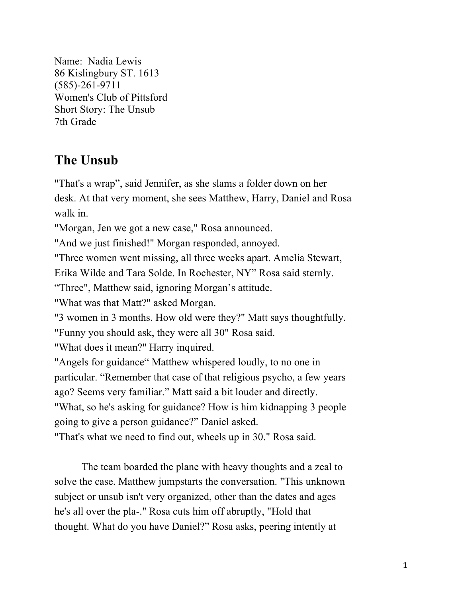Name: Nadia Lewis 86 Kislingbury ST. 1613 (585)-261-9711 Women's Club of Pittsford Short Story: The Unsub 7th Grade

## **The Unsub**

"That's a wrap", said Jennifer, as she slams a folder down on her desk. At that very moment, she sees Matthew, Harry, Daniel and Rosa walk in.

"Morgan, Jen we got a new case," Rosa announced.

"And we just finished!" Morgan responded, annoyed.

"Three women went missing, all three weeks apart. Amelia Stewart,

Erika Wilde and Tara Solde. In Rochester, NY" Rosa said sternly.

"Three", Matthew said, ignoring Morgan's attitude.

"What was that Matt?" asked Morgan.

"3 women in 3 months. How old were they?" Matt says thoughtfully. "Funny you should ask, they were all 30" Rosa said.

"What does it mean?" Harry inquired.

"Angels for guidance" Matthew whispered loudly, to no one in particular. "Remember that case of that religious psycho, a few years ago? Seems very familiar." Matt said a bit louder and directly.

"What, so he's asking for guidance? How is him kidnapping 3 people going to give a person guidance?" Daniel asked.

"That's what we need to find out, wheels up in 30." Rosa said.

The team boarded the plane with heavy thoughts and a zeal to solve the case. Matthew jumpstarts the conversation. "This unknown subject or unsub isn't very organized, other than the dates and ages he's all over the pla-." Rosa cuts him off abruptly, "Hold that thought. What do you have Daniel?" Rosa asks, peering intently at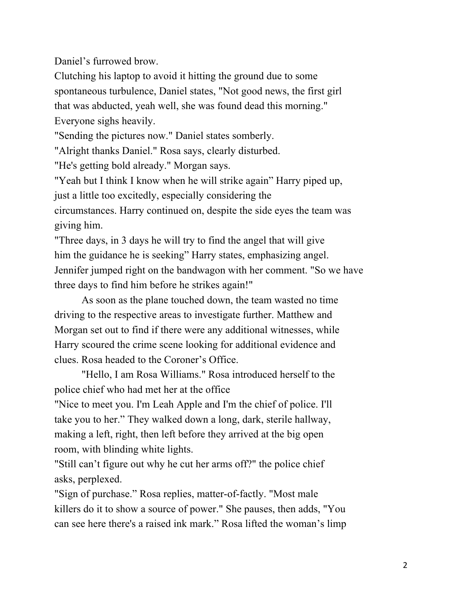Daniel's furrowed brow.

Clutching his laptop to avoid it hitting the ground due to some spontaneous turbulence, Daniel states, "Not good news, the first girl that was abducted, yeah well, she was found dead this morning." Everyone sighs heavily.

"Sending the pictures now." Daniel states somberly.

"Alright thanks Daniel." Rosa says, clearly disturbed.

"He's getting bold already." Morgan says.

"Yeah but I think I know when he will strike again" Harry piped up, just a little too excitedly, especially considering the

circumstances. Harry continued on, despite the side eyes the team was giving him.

"Three days, in 3 days he will try to find the angel that will give him the guidance he is seeking" Harry states, emphasizing angel. Jennifer jumped right on the bandwagon with her comment. "So we have three days to find him before he strikes again!"

As soon as the plane touched down, the team wasted no time driving to the respective areas to investigate further. Matthew and Morgan set out to find if there were any additional witnesses, while Harry scoured the crime scene looking for additional evidence and clues. Rosa headed to the Coroner's Office.

"Hello, I am Rosa Williams." Rosa introduced herself to the police chief who had met her at the office

"Nice to meet you. I'm Leah Apple and I'm the chief of police. I'll take you to her." They walked down a long, dark, sterile hallway, making a left, right, then left before they arrived at the big open room, with blinding white lights.

"Still can't figure out why he cut her arms off?" the police chief asks, perplexed.

"Sign of purchase." Rosa replies, matter-of-factly. "Most male killers do it to show a source of power." She pauses, then adds, "You can see here there's a raised ink mark." Rosa lifted the woman's limp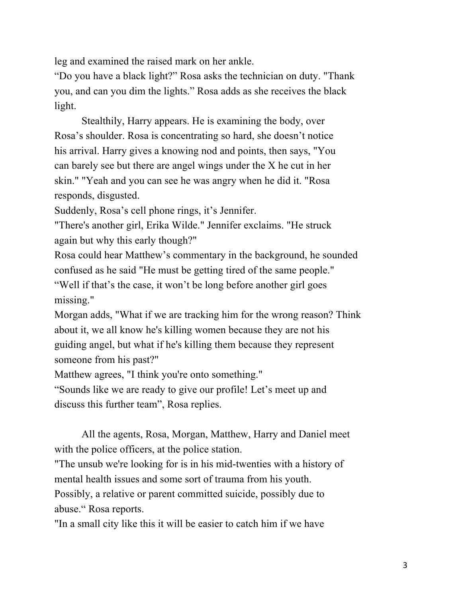leg and examined the raised mark on her ankle.

"Do you have a black light?" Rosa asks the technician on duty. "Thank you, and can you dim the lights." Rosa adds as she receives the black light.

Stealthily, Harry appears. He is examining the body, over Rosa's shoulder. Rosa is concentrating so hard, she doesn't notice his arrival. Harry gives a knowing nod and points, then says, "You can barely see but there are angel wings under the X he cut in her skin." "Yeah and you can see he was angry when he did it. "Rosa responds, disgusted.

Suddenly, Rosa's cell phone rings, it's Jennifer.

"There's another girl, Erika Wilde." Jennifer exclaims. "He struck again but why this early though?"

Rosa could hear Matthew's commentary in the background, he sounded confused as he said "He must be getting tired of the same people." "Well if that's the case, it won't be long before another girl goes missing."

Morgan adds, "What if we are tracking him for the wrong reason? Think about it, we all know he's killing women because they are not his guiding angel, but what if he's killing them because they represent someone from his past?"

Matthew agrees, "I think you're onto something."

"Sounds like we are ready to give our profile! Let's meet up and discuss this further team", Rosa replies.

All the agents, Rosa, Morgan, Matthew, Harry and Daniel meet with the police officers, at the police station.

"The unsub we're looking for is in his mid-twenties with a history of mental health issues and some sort of trauma from his youth.

Possibly, a relative or parent committed suicide, possibly due to abuse." Rosa reports.

"In a small city like this it will be easier to catch him if we have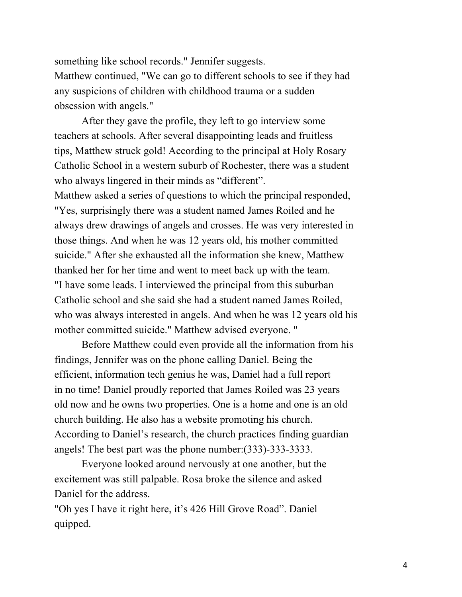something like school records." Jennifer suggests. Matthew continued, "We can go to different schools to see if they had any suspicions of children with childhood trauma or a sudden obsession with angels."

After they gave the profile, they left to go interview some teachers at schools. After several disappointing leads and fruitless tips, Matthew struck gold! According to the principal at Holy Rosary Catholic School in a western suburb of Rochester, there was a student who always lingered in their minds as "different". Matthew asked a series of questions to which the principal responded, "Yes, surprisingly there was a student named James Roiled and he always drew drawings of angels and crosses. He was very interested in those things. And when he was 12 years old, his mother committed suicide." After she exhausted all the information she knew, Matthew thanked her for her time and went to meet back up with the team. "I have some leads. I interviewed the principal from this suburban Catholic school and she said she had a student named James Roiled, who was always interested in angels. And when he was 12 years old his mother committed suicide." Matthew advised everyone. "

Before Matthew could even provide all the information from his findings, Jennifer was on the phone calling Daniel. Being the efficient, information tech genius he was, Daniel had a full report in no time! Daniel proudly reported that James Roiled was 23 years old now and he owns two properties. One is a home and one is an old church building. He also has a website promoting his church. According to Daniel's research, the church practices finding guardian angels! The best part was the phone number:(333)-333-3333.

Everyone looked around nervously at one another, but the excitement was still palpable. Rosa broke the silence and asked Daniel for the address.

"Oh yes I have it right here, it's 426 Hill Grove Road". Daniel quipped.